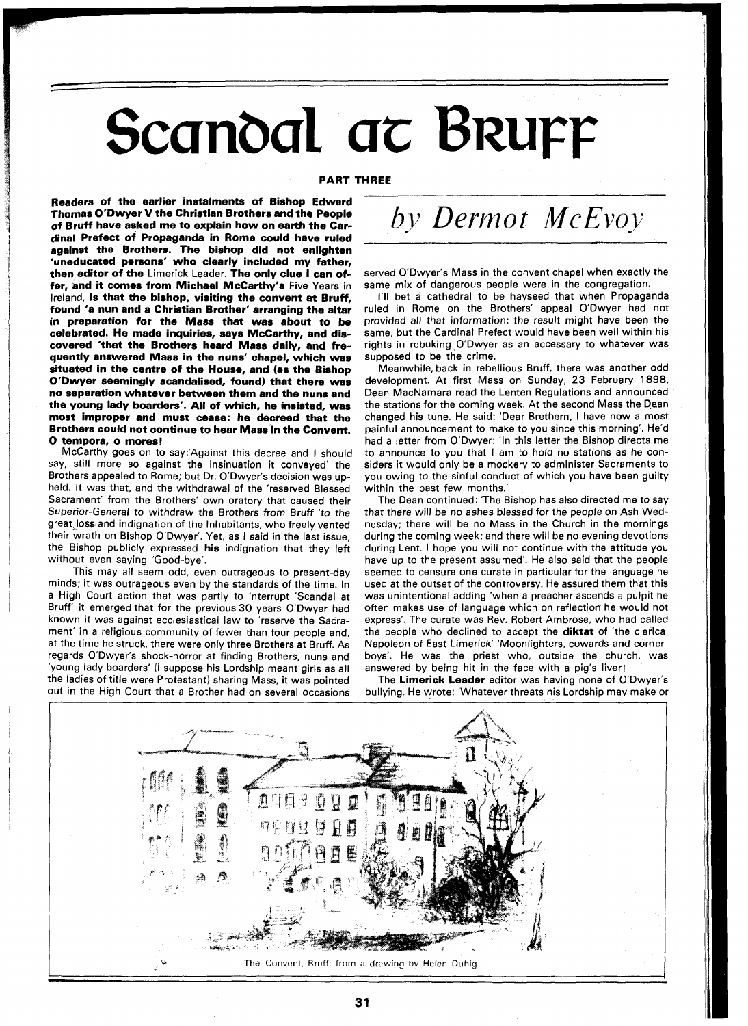## Scandal at Bruff

## **PART THREE**

**Readers of the earlier instalments of Bishop Edward Thornas O'Dwyer V the Christian Brothers and the People of Bruff have asked me to explain how on earth the Cardinal Prefect of Propaganda in Rome could have ruled against the Brothers. The bishop did not enlighten 'uneducated persons' who clearly included my father, then editor of the** Limerick Leader. **The only clue I can offer, and it comes from Michael McCarthy's** Five Years in Ireland, **is that the bishop, visiting the convent at Bruff, found 'a nun and a Christian Brother' arranging the altar in preparation for the Mass that was about to be celebrated. He made inquiries, says McCarthy, and discovered 'that the Brothers heard Mass daily, and frequently answered Mass in the nuns' chapel, which was situated in the centre of the House, and (as the Bishop O'bwyer seemingly scandalised, found) that there was no seperation whatever between them and the nuns and the young lady boarders'. All of which, he insisted, was most improper and must cease: he decreed that the Brothers could not continue to hear Mass in the Convent. 0 tempora, o mores!** 

McCarthy goes on to say:'Against this decree and I should say, still more so against the insinuation it conveyed' the Brothers appealed to Rome; but Dr. O'Dwyer's decision was upheld. It was that, and the withdrawal of the 'reserved Blessed Sacrament' from the Brothers' own oratory that caused their Superior-General to withdraw the Brothers from Bruff 'to the great,loss and indignation of the Inhabitants, who freely vented their wrath on Bishop O'Dwyer'. Yet, as I said in the last issue, the Bishop publicly expressed **his** indignation that they left without even saying 'Good-bye'.

This may all seem odd, even outrageous to present-day minds; it was outrageous even by the standards of the time. In a High Court action that was partly to interrupt 'Scandal at Bruff' it emerged that for the previous30 years O'Dwyer had known it was against ecclesiastical law to 'reserve the Sacrament' in a religious community of fewer than four people and, at the time he struck, there were only three Brothers at Bruff. As regards O'Dwyer's shock-horror at finding Brothers, nuns and 'young lady boarders' (I suppose his Lordship meant girls as all the ladies of title were Protestant) sharing Mass, it was pointed out in the High Court that a Brother had on several occasions

*by Dermot McEvoy* 

served O'Dwyer's Mass in the convent chapel when exactly the same mix of dangerous people were in the congregation.

I'll bet a cathedral to be hayseed that when Propaganda ruled in Rome on the Brothers' appeal O'Dwyer had not provided all that information: the result might have been the same, but the Cardinal Prefect would have been well within his rights in rebuking O'Dwyer as an accessary to whatever was supposed to be the crime.

Meanwhile, back in rebellious Bruff, there was another odd development. At first Mass on Sunday, 23 February 1898, Dean MacNamara read the Lenten Regulations and announced the stations for the coming week. At the second Mass the Dean changed his tune. He said: 'Dear Brethern, I have now a most painful announcement to make to you since this morning'. He'd had a letter from O'Dwyer: 'In this letter the Bishop directs me to announce to you that I am to hold no stations as he considers it would only be a mockery to administer Sacraments to you owing to the sinful conduct of which you have been guilty within the past few months.

The Dean continued: 'The Bishop has also directed me to say that there will be no ashes blessed for the people on Ash Wednesday; there will be no Mass in the Church in the mornings during the coming week; and there will be no evening devotions during Lent. I hope you will not continue with the attitude you have up to the present assumed'. He also said that the people seemed to censure one curate in particular for the language he used at the outset of the controversy. He assured them that this was unintentional adding 'when a preacher ascends a pulpit he often makes use of language which on reflection he would not express'. The curate was Rev. Robert Ambrose, who had called the people who declined to accept the **diktat** of 'the clerical Napoleon of East Limerick' 'Moonlighters, cowards and cornerboys'. He was the priest who, outside the church, was answered by being hit in the face with a pig's liver!

The **Limerick Leader** editor was having none of O'Dwyer's bullying. He wrote: 'Whatever threats his Lordship may make or